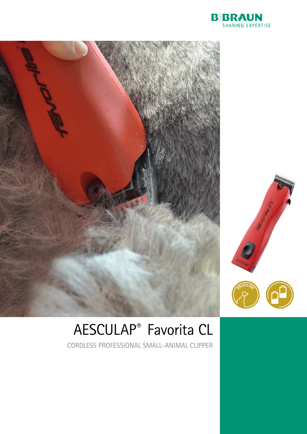



## AESCULAP® Favorita CL

CORDLESS PROFESSIONAL SMALL-ANIMAL CLIPPER